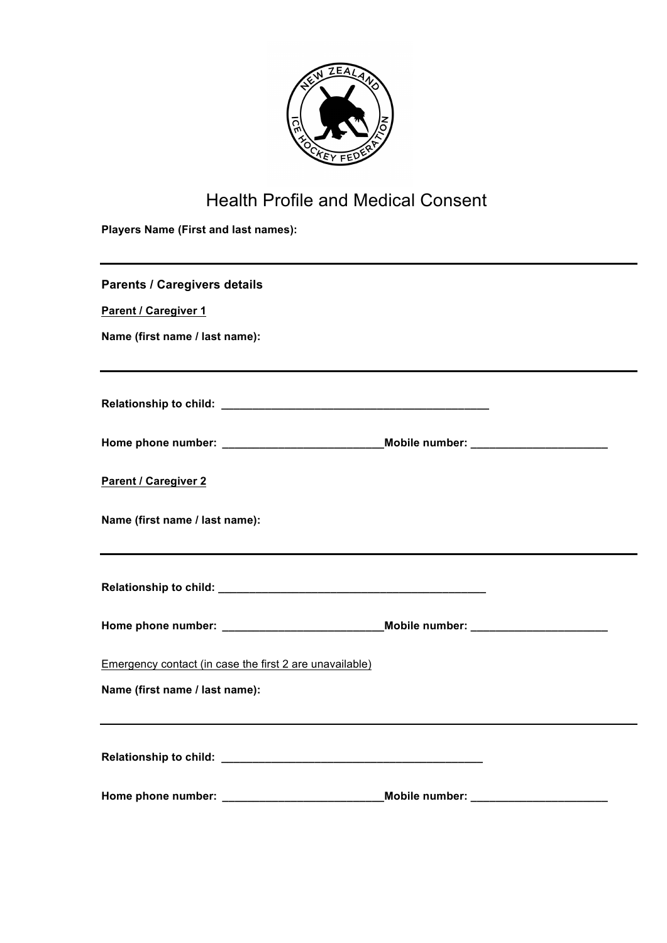

## Health Profile and Medical Consent

**Players Name (First and last names):**

| <b>Parents / Caregivers details</b>                                               |  |
|-----------------------------------------------------------------------------------|--|
| Parent / Caregiver 1                                                              |  |
| Name (first name / last name):                                                    |  |
|                                                                                   |  |
|                                                                                   |  |
| Home phone number: ______________________________Mobile number: ________________  |  |
| <b>Parent / Caregiver 2</b>                                                       |  |
| Name (first name / last name):                                                    |  |
|                                                                                   |  |
|                                                                                   |  |
| Home phone number: ________________________________Mobile number: _______________ |  |
| Emergency contact (in case the first 2 are unavailable)                           |  |
| Name (first name / last name):                                                    |  |
|                                                                                   |  |
| Home phone number: _____________________________Mobile number: _________________  |  |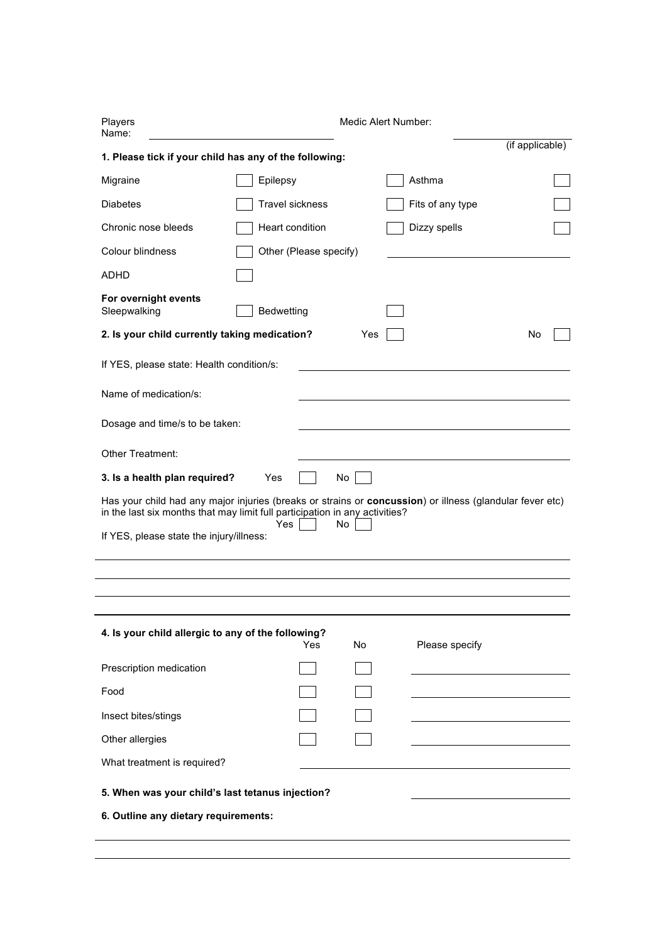| Players<br>Name:                                                          | Medic Alert Number:                                                                                                   |                 |
|---------------------------------------------------------------------------|-----------------------------------------------------------------------------------------------------------------------|-----------------|
| 1. Please tick if your child has any of the following:                    |                                                                                                                       | (if applicable) |
| Migraine                                                                  | Asthma<br>Epilepsy                                                                                                    |                 |
| <b>Diabetes</b>                                                           | <b>Travel sickness</b><br>Fits of any type                                                                            |                 |
| Chronic nose bleeds                                                       | Heart condition<br>Dizzy spells                                                                                       |                 |
| Colour blindness                                                          | Other (Please specify)                                                                                                |                 |
| ADHD                                                                      |                                                                                                                       |                 |
| For overnight events<br>Sleepwalking                                      | Bedwetting                                                                                                            |                 |
| 2. Is your child currently taking medication?                             | Yes                                                                                                                   | No              |
| If YES, please state: Health condition/s:                                 |                                                                                                                       |                 |
| Name of medication/s:                                                     |                                                                                                                       |                 |
|                                                                           |                                                                                                                       |                 |
|                                                                           |                                                                                                                       |                 |
| Dosage and time/s to be taken:<br>Other Treatment:                        |                                                                                                                       |                 |
|                                                                           | No<br>Yes<br>Has your child had any major injuries (breaks or strains or concussion) or illness (glandular fever etc) |                 |
| 3. Is a health plan required?<br>If YES, please state the injury/illness: | in the last six months that may limit full participation in any activities?<br>Yes<br>No                              |                 |
| 4. Is your child allergic to any of the following?                        | Yes<br>Please specify<br>No                                                                                           |                 |
|                                                                           |                                                                                                                       |                 |
| Prescription medication<br>Food                                           |                                                                                                                       |                 |
| Insect bites/stings                                                       |                                                                                                                       |                 |
|                                                                           |                                                                                                                       |                 |
| Other allergies<br>What treatment is required?                            |                                                                                                                       |                 |
| 5. When was your child's last tetanus injection?                          |                                                                                                                       |                 |